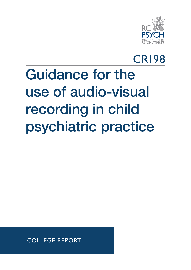

## CR198

# Guidance for the use of audio-visual recording in child psychiatric practice

COLLEGE REPORT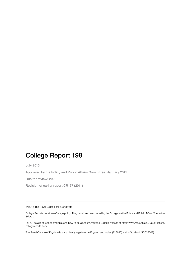## College Report 198

July 2015

Approved by the Policy and Public Affairs Committee: January 2015

Due for review: 2020

Revision of earlier report CR167 (2011)

© 2015 The Royal College of Psychiatrists

College Reports constitute College policy. They have been sanctioned by the College via the Policy and Public Affairs Committee (PPAC).

For full details of reports available and how to obtain them, visit the College website at http://www.rcpsych.ac.uk/publications/ collegereports.aspx

The Royal College of Psychiatrists is a charity registered in England and Wales (228636) and in Scotland (SC038369).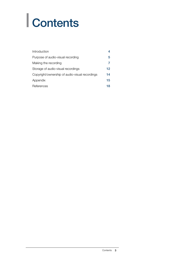# | Contents

| Introduction                                   | 4  |
|------------------------------------------------|----|
| Purpose of audio-visual recording              | 5  |
| Making the recording                           | 7  |
| Storage of audio-visual recordings             | 12 |
| Copyright/ownership of audio-visual recordings | 14 |
| Appendix                                       | 15 |
| References                                     | 18 |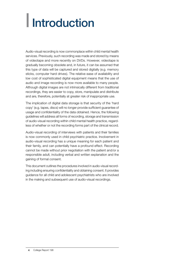# | Introduction

Audio-visual recording is now commonplace within child mental health services. Previously, such recording was made and stored by means of videotape and more recently on DVDs. However, videotape is gradually becoming obsolete and, in future, it can be assumed that this type of data will be captured and stored digitally (e.g. memory sticks, computer hard drives). The relative ease of availability and low cost of sophisticated digital equipment means that the use of audio and image recording is now more available to many people. Although digital images are not intrinsically different from traditional recordings, they are easier to copy, store, manipulate and distribute and are, therefore, potentially at greater risk of inappropriate use.

The implication of digital data storage is that security of the 'hard copy' (e.g. tapes, discs) will no longer provide sufficient guarantee of usage and confidentiality of the data obtained. Hence, the following guidelines will address all forms of recording, storage and transmission of audio-visual recording within child mental health practice, regardless of whether or not the recording forms part of the clinical record.

Audio-visual recording of interviews with patients and their families is now commonly used in child psychiatric practice. Involvement in audio-visual recording has a unique meaning for each patient and their family, and can potentially have a profound effect. Recording cannot be made without prior negotiation with the patient and/or a responsible adult, including verbal and written explanation and the gaining of formal consent.

This document outlines the procedures involved in audio-visual recording including ensuring confidentiality and obtaining consent. It provides guidance for all child and adolescent psychiatrists who are involved in the making and subsequent use of audio-visual recordings.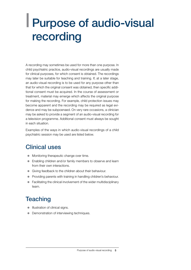## | Purpose of audio-visual recording

A recording may sometimes be used for more than one purpose. In child psychiatric practice, audio-visual recordings are usually made for clinical purposes, for which consent is obtained. The recordings may later be suitable for teaching and training. If, at a later stage, an audio-visual recording is to be used for any purpose other than that for which the original consent was obtained, then specific additional consent must be acquired. In the course of assessment or treatment, material may emerge which affects the original purpose for making the recording. For example, child protection issues may become apparent and the recording may be required as legal evidence and may be subpoenaed. On very rare occasions, a clinician may be asked to provide a segment of an audio-visual recording for a television programme. Additional consent must always be sought in each situation.

Examples of the ways in which audio-visual recordings of a child psychiatric session may be used are listed below.

## Clinical uses

- Monitoring therapeutic change over time.
- Enabling children and/or family members to observe and learn from their own interactions.
- Giving feedback to the children about their behaviour.
- Providing parents with training in handling children's behaviour.
- $\bullet$  Facilitating the clinical involvement of the wider multidisciplinary team.

## **Teaching**

- Illustration of clinical signs.
- Demonstration of interviewing techniques.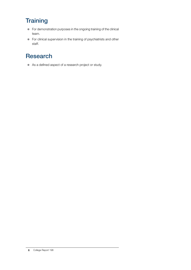## **Training**

- $\bullet$  For demonstration purposes in the ongoing training of the clinical team.
- For clinical supervision in the training of psychiatrists and other staff.

## Research

As a defined aspect of a research project or study.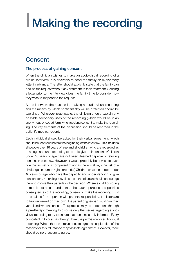# | Making the recording

### **Consent**

#### The process of gaining consent

When the clinician wishes to make an audio-visual recording of a clinical interview, it is desirable to send the family an explanatory letter in advance. The letter should explicitly state that the family can decline the request without any detriment to their treatment. Sending a letter prior to the interview gives the family time to consider how they wish to respond to the request.

At the interview, the reasons for making an audio-visual recording and the means by which confidentiality will be protected should be explained. Wherever practicable, the clinician should explain any possible secondary uses of the recording (which would be in an anonymous or coded form) when seeking consent to make the recording. The key elements of the discussion should be recorded in the patient's medical record.

Each individual should be asked for their verbal agreement, which should be recorded before the beginning of the interview. This includes all people over 16 years of age and all children who are regarded as of an age and understanding to be able give their consent. (Children under 16 years of age have not been deemed capable of refusing consent in case law. However, it would probably be unwise to override the refusal of a competent minor as there is always the risk of a challenge on human rights grounds.) Children or young people under 16 years of age who have the capacity and understanding to give consent for a recording may do so, but the clinician should encourage them to involve their parents in the decision. Where a child or young person is not able to understand the nature, purpose and possible consequences of the recording, consent to make the recording must be obtained from a person with parental responsibility. If children are to be interviewed on their own, the parent or guardian must give their verbal and written consent. This process may be better done through a pre-therapy meeting to discuss only the issues regarding audiovisual recording to try to ensure that consent is truly informed. Every competent individual has the right to refuse permission for audio-visual recording. Where there is a reluctance to agree, an exploration of the reasons for this reluctance may facilitate agreement. However, there should be no pressure to agree.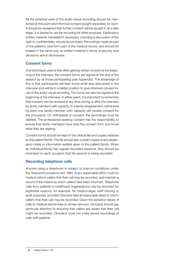All the potential uses of the audio-visual recording should be mentioned at this point and informed consent sought separately for each. It should be explained that further consent will be sought if, at a later stage, it is desired to use the recording for other purposes. Explanatory written material, translated if necessary, including a discussion of the right to confidentiality, should be provided. Recordings made as part of the patient's care form part of the medical record, and should be treated in the same way as written material in terms of security and decisions about disclosures.

#### Consent forms

One technique used is that after gaining verbal consent at the beginning of the interview, the consent forms are signed at the end of the session by all those participating (see Appendix). The advantage of this is that participants will then know what was discussed in the interview and will be in a better position to give informed consent for use of the audio-visual recording. The forms can also be signed at the beginning of the interview. In either event, it is important to remember that consent can be revoked at any time during or after the interview by family members with capacity. In a family disagreement, withdrawal by even one family member with capacity will revoke consent for the procedure. On withdrawal of consent, the recordings must be deleted. The professional seeking consent has the responsibility to ensure that family members have read the consent form and know what they are signing.

Consent forms should be kept in the clinical file and copies retained by the patient/family. The file should also contain copies of any explanatory notes or information leaflets given to the patient/family. When an individual/family has regular recorded sessions, they should be reminded on each occasion that the session is being recorded.

#### Recording telephone calls

Anyone using a telephone is subject to licence conditions under the Telecommunications Act 1984. Every reasonable effort must be made to inform callers that their call may be recorded, and maintain a record of the means by which callers have been informed. Telephone calls from patients to healthcare organisations may be recorded for legitimate reasons, for example, for medico-legal, staff training or audit purposes, provided clinicians take all reasonable steps to inform callers that their call may be recorded. Given the sensitive nature of calls to medical advice lines or similar services, clinicians should pay particular attention to ensuring that callers are aware that their call might be recorded. Clinicians must not make secret recordings of calls with patients.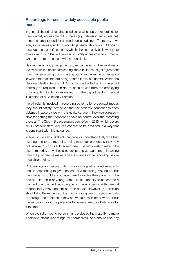#### Recordings for use in widely accessible public media

In general, the principles discussed earlier also apply to recordings for use in widely accessible public media (e.g. television, radio, internet, print) that are intended for a broad public audience. There are, however, some issues specific to recordings used in this context. Clinicians must get the patient's consent, which should usually be in writing, to make a recording that will be used in widely accessible public media, whether or not the patient will be identifiable.

Before making any arrangements to record patients, their relatives or their visitors in a healthcare setting, the clinician must get agreement from their employing or contracting body, and from the organisation in which the patients are being treated if this is different. Within the National Health Service (NHS), a contract with the filmmaker will normally be required. If in doubt, seek advice from the employing or contracting body; for example, from the department of medical illustration or a Caldicott Guardian.

If a clinician is involved in recording patients for broadcast media, they should satisfy themselves that the patients' consent has been obtained in accordance with this guidance, even if they are not responsible for getting that consent or have no control over the recording process. The Ofcom Broadcasting Code (Ofcom, 2015), which covers all UK broadcasters, requires consent to be obtained in a way that is consistent with this guidance.

In addition, one should check that patients understand that, once they have agreed to the recording being made for broadcast, they may not be able to stop its subsequent use. If patients wish to restrict the use of material, they should be advised to get agreement in writing from the programme maker and the owners of the recording before recording begins.

Children or young people under 16 years of age who have the capacity and understanding to give consent for a recording may do so, but the clinician should encourage them to involve their parents in the decision. If a child or young person lacks capacity to consent to a planned or unplanned recording being made, a person with parental responsibility may consent on their behalf. However, the clinician should stop the recording if the child or young person objects verbally or through their actions, if they show distress in other ways about the recording, or if the person with parental responsibility asks for it to stop.

When a child or young person has developed the maturity to make decisions about recordings for themselves, one should use any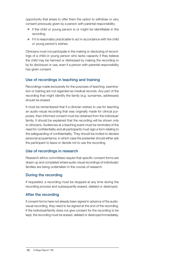opportunity that arises to offer them the option to withdraw or vary consent previously given by a person with parental responsibility:

- $\bullet$  if the child or young person is or might be identifiable in the recording
- $\bullet$  if it is reasonably practicable to act in accordance with the child or young person's wishes.

Clinicians must not participate in the making or disclosing of recordings of a child or young person who lacks capacity if they believe the child may be harmed or distressed by making the recording or by its disclosure or use, even if a person with parental responsibility has given consent.

#### Use of recordings in teaching and training

Recordings made exclusively for the purposes of teaching, examination or training are not regarded as medical records. Any part of the recording that might identify the family (e.g. surnames, addresses) should be erased.

It must be remembered that if a clinician wishes to use for teaching an audio-visual recording that was originally made for clinical purposes, then informed consent must be obtained from the individual/ family. It should be explained that the recording will be shown only to clinicians. Audiences at a teaching event must be reminded of the need for confidentiality and all participants must sign a form relating to the safeguarding of confidentiality. They should be invited to declare personal acquaintance, in which case the presenter should either ask the participant to leave or decide not to use the recording.

#### Use of recordings in research

Research ethics committees require that specific consent forms are drawn up and completed where audio-visual recordings of individuals/ families are being undertaken in the course of research.

#### During the recording

If requested, a recording must be stopped at any time during the recording process and subsequently erased, deleted or destroyed.

#### After the recording

If consent forms have not already been signed in advance of the audiovisual recording, they need to be signed at the end of the recording. If the individual/family does not give consent for the recording to be kept, the recording must be erased, deleted or destroyed immediately.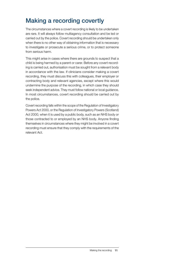## Making a recording covertly

The circumstances where a covert recording is likely to be undertaken are rare. It will always follow multiagency consultation and be led or carried out by the police. Covert recording should be undertaken only when there is no other way of obtaining information that is necessary to investigate or prosecute a serious crime, or to protect someone from serious harm.

This might arise in cases where there are grounds to suspect that a child is being harmed by a parent or carer. Before any covert recording is carried out, authorisation must be sought from a relevant body in accordance with the law. If clinicians consider making a covert recording, they must discuss this with colleagues, their employer or contracting body and relevant agencies, except where this would undermine the purpose of the recording, in which case they should seek independent advice. They must follow national or local guidance. In most circumstances, covert recording should be carried out by the police.

Covert recording falls within the scope of the Regulation of Investigatory Powers Act 2000, or the Regulation of Investigatory Powers (Scotland) Act 2000, when it is used by a public body, such as an NHS body or those contracted to or employed by an NHS body. Anyone finding themselves in circumstances where they might be involved in a covert recording must ensure that they comply with the requirements of the relevant Act.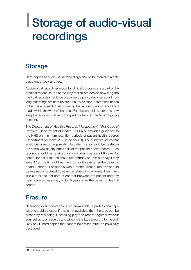## | | Storage of audio-visual recordings

## **Storage**

Hard copies of audio-visual recordings should be stored in a safe place under lock and key.

Audio-visual recordings made for clinical purposes are a part of the medical record. In the same way that trusts decide how long the medical records should be preserved, a policy decision about how long recordings are kept before erasure/deletion/destruction needs to be made by each trust, covering the various uses of recordings made within the work of that trust. Families should be informed how long the audio-visual recording will be kept at the time of giving consent.

The Department of Health's *Records Management: NHS Code of Practice* (Department of Health, 2006a,b) provides guidance to the NHS on minimum retention periods of patient health records (Department of Health, 2006b, Annex D1). The guidance states that audio-visual recordings relating to patient care should be treated in the same way as any other part of the patient health record. Such records should be retained for a minimum period of 8 years for adults; for children, until their 25th birthday or 26th birthday if they were 17 at the time of treatment, or for 8 years after the patient's death if sooner. For people with a mental illness, records should be retained for at least 20 years (as stated in the Mental Health Act 1983) after the last date of contact between the patient and any healthcare professional, or for 8 years after the patient's death if sooner.

### **Erasure**

Recording over videotapes is not permissible. A professional tape wiper should be used. If this is not available, then the tape can be erased by rewinding it, pressing play and record together without connection to any source and allowing the tape to record to the end. DVD or CD hard copies that cannot be erased must be physically destroyed.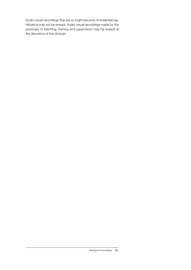Audio-visual recordings that are or might become of evidential significance may not be erased. Audio-visual recordings made for the purposes of teaching, training and supervision may be erased at the discretion of the clinician.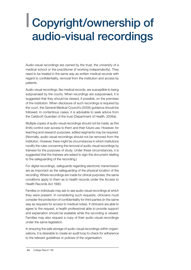## | | Copyright/ownership of audio-visual recordings

Audio-visual recordings are owned by the trust, the university of a medical school or the practitioner (if working independently). They need to be treated in the same way as written medical records with regard to confidentiality, removal from the institution and access by patients.

Audio-visual recordings, like medical records, are susceptible to being subpoenaed by the courts. When recordings are subpoenaed, it is suggested that they should be viewed, if possible, on the premises of the institution. When disclosure of such recordings is required by the court, the General Medical Council's (2009) guidance should be followed. In contentious cases, it is advisable to seek advice from the Caldicott Guardian of the trust (Department of Health, 2006a).

Multiple copies of audio-visual recordings should not be made, as this limits control over access to them and their future use. However, for teaching and research purposes, edited segments may be required. (Normally, audio-visual recordings should not be removed from the institution. However, there might be circumstances in which institutions modify the rules concerning the removal of audio-visual recordings by trainees for the purposes of study. Under these circumstances, it is suggested that the trainees are asked to sign the document relating to the safeguarding of the recording.)

For digital recordings, safeguards regarding electronic transmission are as important as the safeguarding of the physical location of the recording. Where recordings are made for clinical purposes, the same conditions apply to them as to health records under the Access to Health Records Act 1990.

Families or individuals may ask to see audio-visual recordings at which they were present. In considering such requests, clinicians must consider the protection of confidentiality for third parties (in the same way as requests for access to medical notes). If clinicians are able to agree to the request, a health professional able to provide support and explanation should be available while the recording is viewed. Families may also request a copy of their audio-visual recordings under the same legislation.

In ensuring the safe storage of audio-visual recordings within organisations, it is desirable to create an audit loop to check for adherence to the relevant guidelines or policies of the organisation.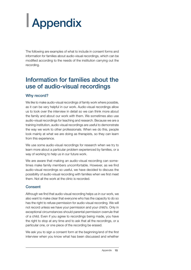# | Appendix

The following are examples of what to include in consent forms and information for families about audio-visual recordings, which can be modified according to the needs of the institution carrying out the recording.

### Information for families about the use of audio-visual recordings

#### Why record?

We like to make audio-visual recordings of family work where possible, as it can be very helpful in our work. Audio-visual recordings allow us to look over the interview in detail so we can think more about the family and about our work with them. We sometimes also use audio-visual recordings for teaching and research. Because we are a training institution, audio-visual recordings are useful to demonstrate the way we work to other professionals. When we do this, people look mainly at what we are doing as therapists, so they can learn from this experience.

We use some audio-visual recordings for research when we try to learn more about a particular problem experienced by families, or a way of working to help us in our future work.

We are aware that making an audio-visual recording can sometimes make family members uncomfortable. However, as we find audio-visual recordings so useful, we have decided to discuss the possibility of audio-visual recording with families when we first meet them. Not all the work at the clinic is recorded.

#### **Consent**

Although we find that audio-visual recording helps us in our work, we also want to make clear that everyone who has the capacity to do so has the right to refuse permission for audio-visual recording. We will not record unless we have your permission and your child's. Only in exceptional circumstances should parental permission overrule that of a child. Even if you agree to recordings being made, you have the right to stop at any time and to ask that all the recordings, or a particular one, or one piece of the recording be erased.

We ask you to sign a consent form at the beginning/end of the first interview when you know what has been discussed and whether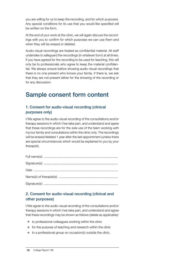you are willing for us to keep the recording, and for which purposes. Any special conditions for its use that you would like specified will be written on the form.

At the end of your work at the clinic, we will again discuss the recordings with you to confirm for which purposes we can use them and when they will be erased or deleted.

Audio-visual recordings are treated as confidential material. All staff undertake to safeguard the recordings (in whatever form) at all times. If you have agreed for the recording to be used for teaching, this will only be to professionals who agree to keep the material confidential. We always ensure before showing audio-visual recordings that there is no one present who knows your family. If there is, we ask that they are not present either for the showing of the recording or for any discussion.

## Sample consent form content

#### 1. Consent for audio-visual recording (clinical purposes only)

I/We agree to the audio-visual recording of the consultations and/or therapy sessions in which I/we take part, and understand and agree that these recordings are for the sole use of the team working with my/our family and consultations within the clinic only. The recordings will be erased/deleted 1 year after the last appointment (unless there are special circumstances which would be explained to you by your therapist).

#### 2. Consent for audio-visual recording (clinical and other purposes)

I/We agree to the audio-visual recording of the consultations and/or therapy sessions in which I/we take part, and understand and agree that these recordings may be shown as follows (delete as applicable):

- $\bullet$  to professional colleagues working within the clinic
- $\bullet$  for the purpose of teaching and research within the clinic
- $\bullet$  to a professional group on occasion(s) outside the clinic.